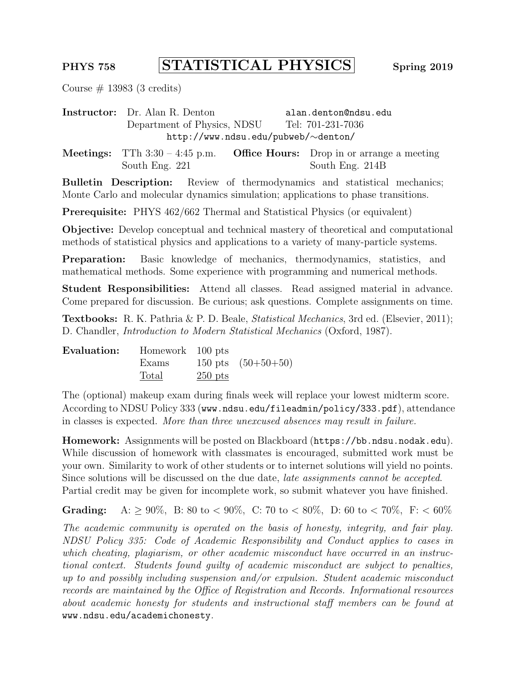## PHYS 758 STATISTICAL PHYSICS Spring 2019

Course  $\#$  13983 (3 credits)

Instructor: Dr. Alan R. Denton alan.denton@ndsu.edu Department of Physics, NDSU Tel: 701-231-7036 http://www.ndsu.edu/pubweb/∼denton/

**Meetings:** TTh  $3:30 - 4:45$  p.m. **Office Hours:** Drop in or arrange a meeting South Eng. 221 South Eng. 214B

Bulletin Description: Review of thermodynamics and statistical mechanics; Monte Carlo and molecular dynamics simulation; applications to phase transitions.

Prerequisite: PHYS 462/662 Thermal and Statistical Physics (or equivalent)

Objective: Develop conceptual and technical mastery of theoretical and computational methods of statistical physics and applications to a variety of many-particle systems.

Preparation: Basic knowledge of mechanics, thermodynamics, statistics, and mathematical methods. Some experience with programming and numerical methods.

Student Responsibilities: Attend all classes. Read assigned material in advance. Come prepared for discussion. Be curious; ask questions. Complete assignments on time.

Textbooks: R. K. Pathria & P. D. Beale, Statistical Mechanics, 3rd ed. (Elsevier, 2011); D. Chandler, Introduction to Modern Statistical Mechanics (Oxford, 1987).

| Evaluation: | Homework 100 pts |           |                      |
|-------------|------------------|-----------|----------------------|
|             | Exams            |           | 150 pts $(50+50+50)$ |
|             | Total            | $250$ pts |                      |

The (optional) makeup exam during finals week will replace your lowest midterm score. According to NDSU Policy 333 (www.ndsu.edu/fileadmin/policy/333.pdf), attendance in classes is expected. More than three unexcused absences may result in failure.

Homework: Assignments will be posted on Blackboard (https://bb.ndsu.nodak.edu). While discussion of homework with classmates is encouraged, submitted work must be your own. Similarity to work of other students or to internet solutions will yield no points. Since solutions will be discussed on the due date, late assignments cannot be accepted. Partial credit may be given for incomplete work, so submit whatever you have finished.

**Grading:** A:  $\geq 90\%$ , B: 80 to < 90%, C: 70 to < 80%, D: 60 to < 70%, F: < 60%

The academic community is operated on the basis of honesty, integrity, and fair play. NDSU Policy 335: Code of Academic Responsibility and Conduct applies to cases in which cheating, plagiarism, or other academic misconduct have occurred in an instructional context. Students found guilty of academic misconduct are subject to penalties, up to and possibly including suspension and/or expulsion. Student academic misconduct records are maintained by the Office of Registration and Records. Informational resources about academic honesty for students and instructional staff members can be found at www.ndsu.edu/academichonesty.